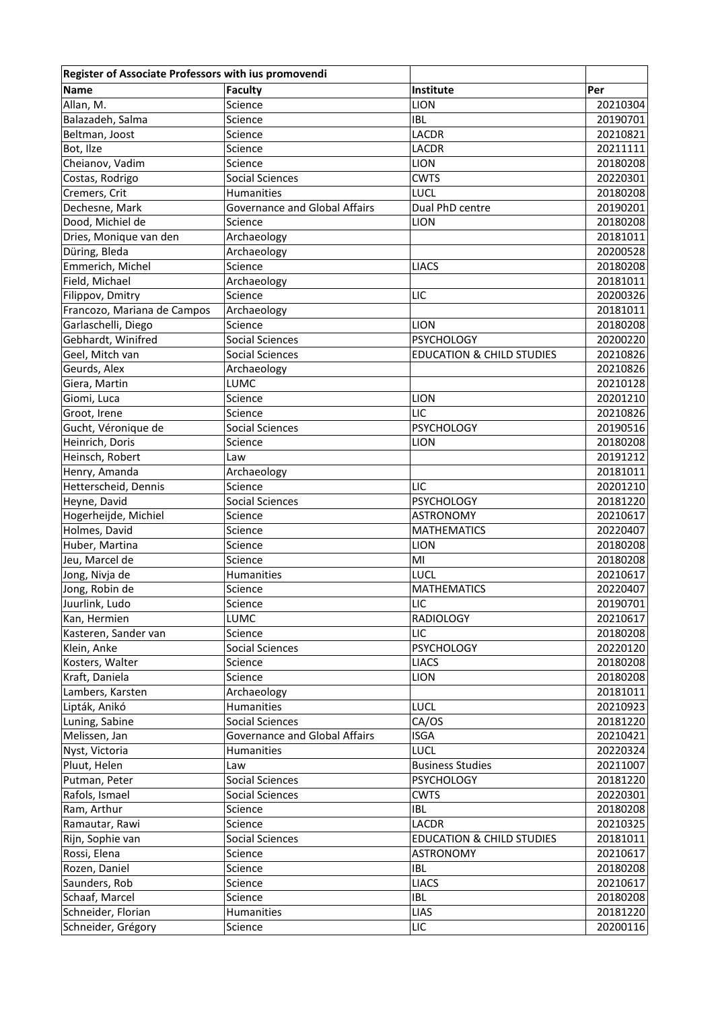| Register of Associate Professors with ius promovendi |                                      |                                      |          |
|------------------------------------------------------|--------------------------------------|--------------------------------------|----------|
| <b>Name</b>                                          | <b>Faculty</b>                       | Institute                            | Per      |
| Allan, M.                                            | Science                              | <b>LION</b>                          | 20210304 |
| Balazadeh, Salma                                     | Science                              | <b>IBL</b>                           | 20190701 |
| Beltman, Joost                                       | Science                              | LACDR                                | 20210821 |
| Bot, Ilze                                            | Science                              | LACDR                                | 20211111 |
| Cheianov, Vadim                                      | Science                              | <b>LION</b>                          | 20180208 |
| Costas, Rodrigo                                      | Social Sciences                      | <b>CWTS</b>                          | 20220301 |
| Cremers, Crit                                        | Humanities                           | LUCL                                 | 20180208 |
| Dechesne, Mark                                       | <b>Governance and Global Affairs</b> | Dual PhD centre                      | 20190201 |
| Dood, Michiel de                                     | Science                              | <b>LION</b>                          | 20180208 |
| Dries, Monique van den                               | Archaeology                          |                                      | 20181011 |
| Düring, Bleda                                        | Archaeology                          |                                      | 20200528 |
| Emmerich, Michel                                     | Science                              | <b>LIACS</b>                         | 20180208 |
| Field, Michael                                       | Archaeology                          |                                      | 20181011 |
| Filippov, Dmitry                                     | Science                              | LIC                                  | 20200326 |
| Francozo, Mariana de Campos                          | Archaeology                          |                                      | 20181011 |
| Garlaschelli, Diego                                  | Science                              | <b>LION</b>                          | 20180208 |
| Gebhardt, Winifred                                   | Social Sciences                      | <b>PSYCHOLOGY</b>                    | 20200220 |
| Geel, Mitch van                                      | <b>Social Sciences</b>               | <b>EDUCATION &amp; CHILD STUDIES</b> | 20210826 |
| Geurds, Alex                                         | Archaeology                          |                                      | 20210826 |
| Giera, Martin                                        | LUMC                                 |                                      | 20210128 |
|                                                      | Science                              |                                      | 20201210 |
| Giomi, Luca                                          |                                      | <b>LION</b><br>LIC                   | 20210826 |
| Groot, Irene                                         | Science                              |                                      |          |
| Gucht, Véronique de                                  | <b>Social Sciences</b>               | <b>PSYCHOLOGY</b>                    | 20190516 |
| Heinrich, Doris                                      | Science                              | <b>LION</b>                          | 20180208 |
| Heinsch, Robert                                      | Law                                  |                                      | 20191212 |
| Henry, Amanda                                        | Archaeology                          |                                      | 20181011 |
| Hetterscheid, Dennis                                 | Science                              | LIC                                  | 20201210 |
| Heyne, David                                         | <b>Social Sciences</b>               | <b>PSYCHOLOGY</b>                    | 20181220 |
| Hogerheijde, Michiel                                 | Science                              | <b>ASTRONOMY</b>                     | 20210617 |
| Holmes, David                                        | Science                              | <b>MATHEMATICS</b>                   | 20220407 |
| Huber, Martina                                       | Science                              | <b>LION</b>                          | 20180208 |
| Jeu, Marcel de                                       | Science                              | MI                                   | 20180208 |
| Jong, Nivja de                                       | Humanities                           | LUCL                                 | 20210617 |
| Jong, Robin de                                       | Science                              | <b>MATHEMATICS</b>                   | 20220407 |
| Juurlink, Ludo                                       | Science                              | LIC                                  | 20190701 |
| Kan, Hermien                                         | LUMC                                 | <b>RADIOLOGY</b>                     | 20210617 |
| Kasteren, Sander van                                 | Science                              | LIC                                  | 20180208 |
| Klein, Anke                                          | <b>Social Sciences</b>               | PSYCHOLOGY                           | 20220120 |
| Kosters, Walter                                      | Science                              | <b>LIACS</b>                         | 20180208 |
| Kraft, Daniela                                       | Science                              | <b>LION</b>                          | 20180208 |
| Lambers, Karsten                                     | Archaeology                          |                                      | 20181011 |
| Lipták, Anikó                                        | Humanities                           | LUCL                                 | 20210923 |
| Luning, Sabine                                       | <b>Social Sciences</b>               | CA/OS                                | 20181220 |
| Melissen, Jan                                        | <b>Governance and Global Affairs</b> | <b>ISGA</b>                          | 20210421 |
| Nyst, Victoria                                       | <b>Humanities</b>                    | LUCL                                 | 20220324 |
| Pluut, Helen                                         | Law                                  | <b>Business Studies</b>              | 20211007 |
| Putman, Peter                                        | Social Sciences                      | <b>PSYCHOLOGY</b>                    | 20181220 |
| Rafols, Ismael                                       | <b>Social Sciences</b>               | <b>CWTS</b>                          | 20220301 |
| Ram, Arthur                                          | Science                              | <b>IBL</b>                           | 20180208 |
| Ramautar, Rawi                                       | Science                              | <b>LACDR</b>                         | 20210325 |
| Rijn, Sophie van                                     | Social Sciences                      | <b>EDUCATION &amp; CHILD STUDIES</b> | 20181011 |
| Rossi, Elena                                         | Science                              | <b>ASTRONOMY</b>                     | 20210617 |
| Rozen, Daniel                                        | Science                              | <b>IBL</b>                           | 20180208 |
| Saunders, Rob                                        |                                      | <b>LIACS</b>                         | 20210617 |
|                                                      | Science                              |                                      |          |
| Schaaf, Marcel                                       | Science                              | <b>IBL</b>                           | 20180208 |
| Schneider, Florian                                   | Humanities                           | LIAS                                 | 20181220 |
| Schneider, Grégory                                   | Science                              | LIC                                  | 20200116 |